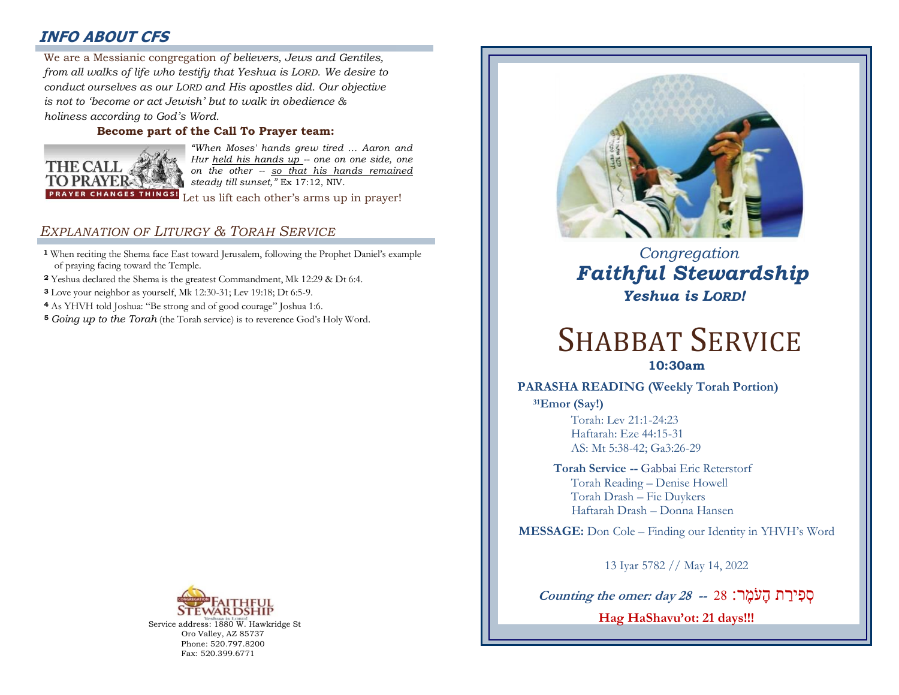# **INFO ABOUT CFS**

: *from all walks of life who testify that Yeshua is LORD. We desire to*  We are a Messianic congregation *of believers, Jews and Gentiles, conduct ourselves as our LORD and His apostles did. Our objective is not to 'become or act Jewish' but to walk in obedience & holiness according to God's Word.* 

## **Become part of the Call To Prayer team:**



*"When Moses' hands grew tired … Aaron and Hur held his hands up -- one on one side, one on the other -- so that his hands remained steady till sunset,"* Ex 17:12, NIV.

Let us lift each other's arms up in prayer!

# *EXPLANATION OF LITURGY & TORAH SERVICE*

- **<sup>1</sup>** When reciting the Shema face East toward Jerusalem, following the Prophet Daniel's example of praying facing toward the Temple.
- **<sup>2</sup>** Yeshua declared the Shema is the greatest Commandment, Mk 12:29 & Dt 6:4.
- **<sup>3</sup>** Love your neighbor as yourself, Mk 12:30-31; Lev 19:18; Dt 6:5-9.
- **<sup>4</sup>** As YHVH told Joshua: "Be strong and of good courage" Joshua 1:6.
- **<sup>5</sup>** *Going up to the Torah* (the Torah service) is to reverence God's Holy Word.



Service address: 1880 W. Hawkridge St Oro Valley, AZ 85737 Phone: 520.797.8200 Fax: 520.399.6771



 *Congregation Faithful Stewardship Yeshua is LORD!*

# SHABBAT SERVICE

**10:30am**

## **PARASHA READING (Weekly Torah Portion)**

**<sup>31</sup>Emor (Say!)** Torah: Lev 21:1-24:23 Haftarah: Eze 44:15-31 AS: Mt 5:38-42; Ga3:26-29

> **Torah Service --** Gabbai Eric Reterstorf Torah Reading – Denise Howell Torah Drash – Fie Duykers Haftarah Drash – Donna Hansen

 **MESSAGE:** Don Cole – Finding our Identity in YHVH's Word

13 Iyar 5782 // May 14, 2022

סְ פִ ירַ ת הָעֹמֶ ר: 28 **-- 28 day :omer the Counting Hag HaShavu'ot: 21 days!!!**